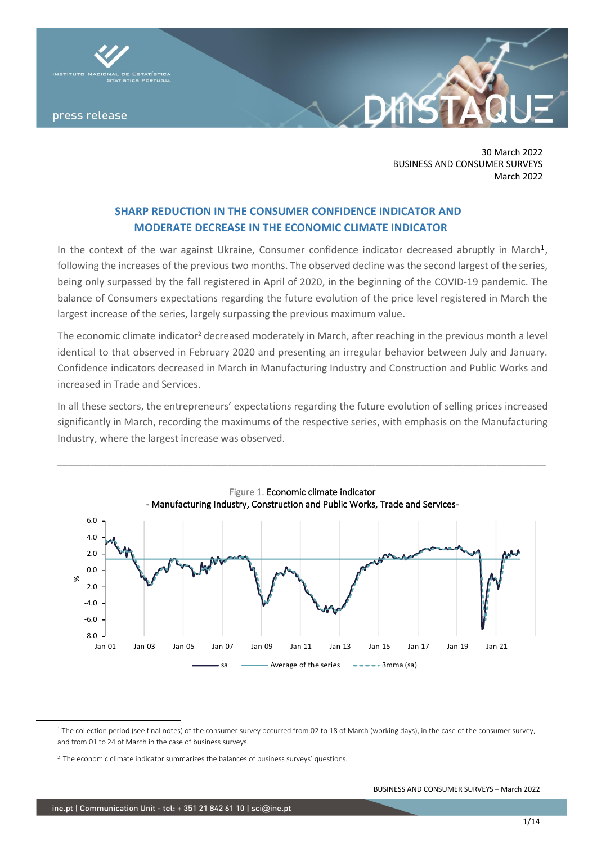

30 March 2022 BUSINESS AND CONSUMER SURVEYS March 2022

# **SHARP REDUCTION IN THE CONSUMER CONFIDENCE INDICATOR AND MODERATE DECREASE IN THE ECONOMIC CLIMATE INDICATOR**

In the context of the war against Ukraine, Consumer confidence indicator decreased abruptly in March<sup>1</sup>, following the increases of the previous two months. The observed decline was the second largest of the series, being only surpassed by the fall registered in April of 2020, in the beginning of the COVID-19 pandemic. The balance of Consumers expectations regarding the future evolution of the price level registered in March the largest increase of the series, largely surpassing the previous maximum value.

The economic climate indicator<sup>2</sup> decreased moderately in March, after reaching in the previous month a level identical to that observed in February 2020 and presenting an irregular behavior between July and January. Confidence indicators decreased in March in Manufacturing Industry and Construction and Public Works and increased in Trade and Services.

In all these sectors, the entrepreneurs' expectations regarding the future evolution of selling prices increased significantly in March, recording the maximums of the respective series, with emphasis on the Manufacturing Industry, where the largest increase was observed.



<sup>&</sup>lt;sup>1</sup> The collection period (see final notes) of the consumer survey occurred from 02 to 18 of March (working days), in the case of the consumer survey, and from 01 to 24 of March in the case of business surveys.

<sup>&</sup>lt;sup>2</sup> The economic climate indicator summarizes the balances of business surveys' questions.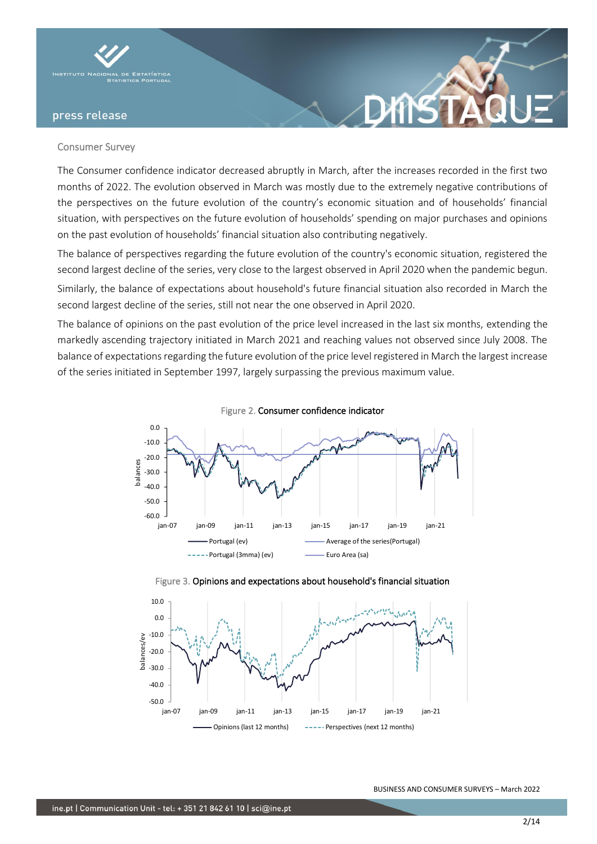

### Consumer Survey

The Consumer confidence indicator decreased abruptly in March, after the increases recorded in the first two months of 2022. The evolution observed in March was mostly due to the extremely negative contributions of the perspectives on the future evolution of the country's economic situation and of households' financial situation, with perspectives on the future evolution of households' spending on major purchases and opinions on the past evolution of households' financial situation also contributing negatively.

**XINS** 

The balance of perspectives regarding the future evolution of the country's economic situation, registered the second largest decline of the series, very close to the largest observed in April 2020 when the pandemic begun. Similarly, the balance of expectations about household's future financial situation also recorded in March the second largest decline of the series, still not near the one observed in April 2020.

The balance of opinions on the past evolution of the price level increased in the last six months, extending the markedly ascending trajectory initiated in March 2021 and reaching values not observed since July 2008. The balance of expectations regarding the future evolution of the price level registered in March the largest increase of the series initiated in September 1997, largely surpassing the previous maximum value.





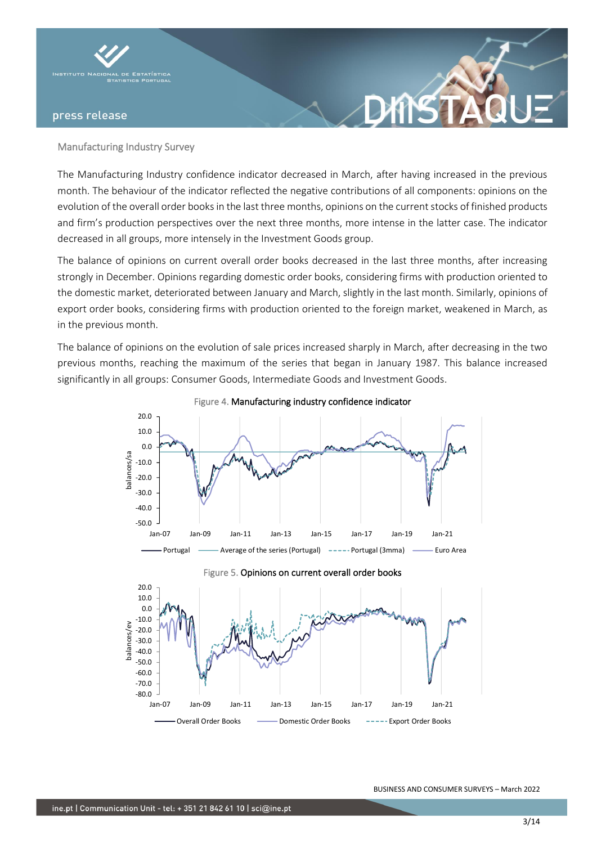

### Manufacturing Industry Survey

The Manufacturing Industry confidence indicator decreased in March, after having increased in the previous month. The behaviour of the indicator reflected the negative contributions of all components: opinions on the evolution of the overall order books in the last three months, opinions on the current stocks of finished products and firm's production perspectives over the next three months, more intense in the latter case. The indicator decreased in all groups, more intensely in the Investment Goods group.

**XTKS** 

The balance of opinions on current overall order books decreased in the last three months, after increasing strongly in December. Opinions regarding domestic order books, considering firms with production oriented to the domestic market, deteriorated between January and March, slightly in the last month. Similarly, opinions of export order books, considering firms with production oriented to the foreign market, weakened in March, as in the previous month.

The balance of opinions on the evolution of sale prices increased sharply in March, after decreasing in the two previous months, reaching the maximum of the series that began in January 1987. This balance increased significantly in all groups: Consumer Goods, Intermediate Goods and Investment Goods.





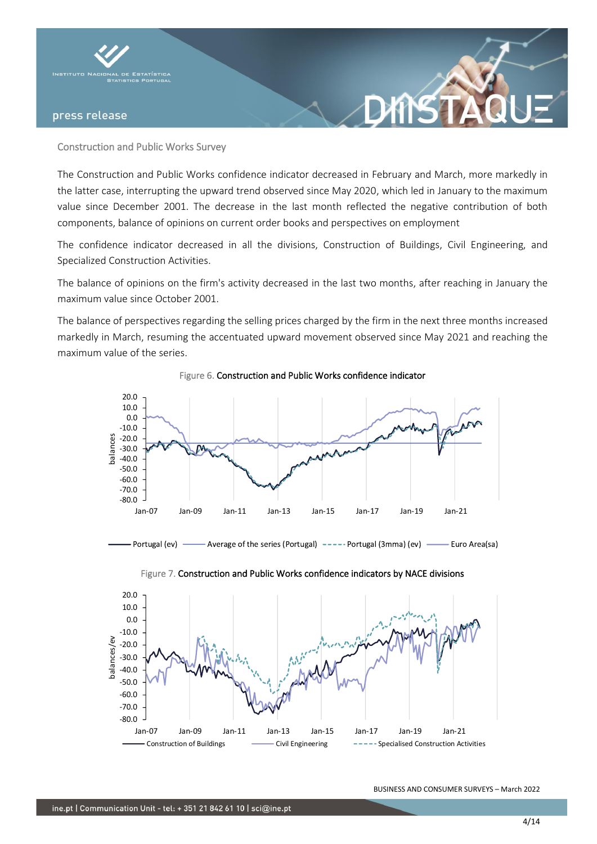

## Construction and Public Works Survey

The Construction and Public Works confidence indicator decreased in February and March, more markedly in the latter case, interrupting the upward trend observed since May 2020, which led in January to the maximum value since December 2001. The decrease in the last month reflected the negative contribution of both components, balance of opinions on current order books and perspectives on employment

The confidence indicator decreased in all the divisions, Construction of Buildings, Civil Engineering, and Specialized Construction Activities.

The balance of opinions on the firm's activity decreased in the last two months, after reaching in January the maximum value since October 2001.

The balance of perspectives regarding the selling prices charged by the firm in the next three months increased markedly in March, resuming the accentuated upward movement observed since May 2021 and reaching the maximum value of the series.



Figure 6. Construction and Public Works confidence indicator

- Portugal (ev) - Average of the series (Portugal) ----- Portugal (3mma) (ev) -- Euro Area(sa)



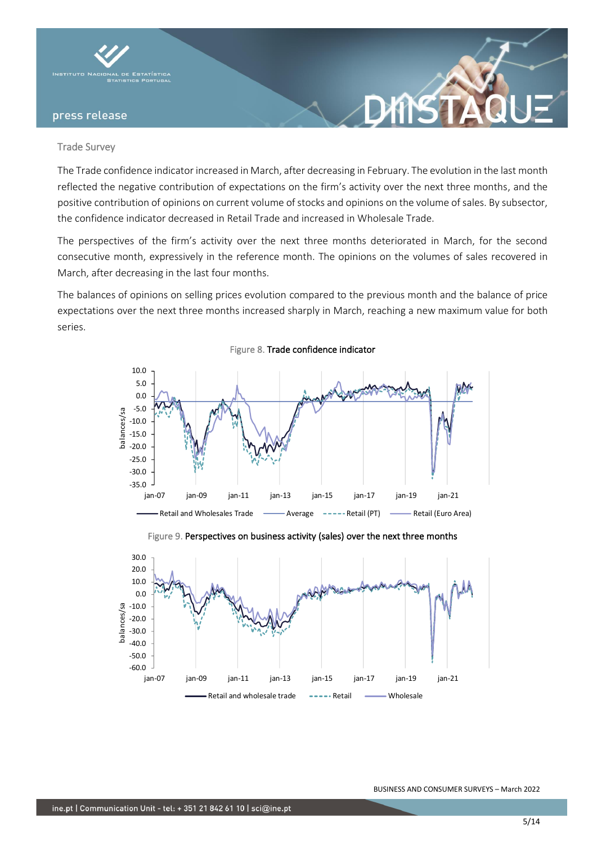

### Trade Survey

The Trade confidence indicator increased in March, after decreasing in February. The evolution in the last month reflected the negative contribution of expectations on the firm's activity over the next three months, and the positive contribution of opinions on current volume of stocks and opinions on the volume of sales. By subsector, the confidence indicator decreased in Retail Trade and increased in Wholesale Trade.

The perspectives of the firm's activity over the next three months deteriorated in March, for the second consecutive month, expressively in the reference month. The opinions on the volumes of sales recovered in March, after decreasing in the last four months.

The balances of opinions on selling prices evolution compared to the previous month and the balance of price expectations over the next three months increased sharply in March, reaching a new maximum value for both series.



Figure 8. Trade confidence indicator



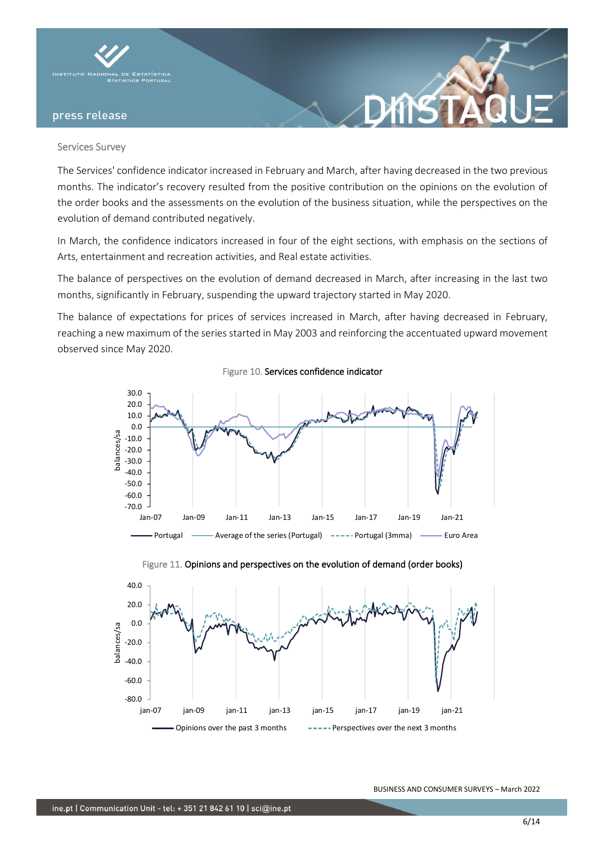

### Services Survey

The Services' confidence indicator increased in February and March, after having decreased in the two previous months. The indicator's recovery resulted from the positive contribution on the opinions on the evolution of the order books and the assessments on the evolution of the business situation, while the perspectives on the evolution of demand contributed negatively.

In March, the confidence indicators increased in four of the eight sections, with emphasis on the sections of Arts, entertainment and recreation activities, and Real estate activities.

The balance of perspectives on the evolution of demand decreased in March, after increasing in the last two months, significantly in February, suspending the upward trajectory started in May 2020.

The balance of expectations for prices of services increased in March, after having decreased in February, reaching a new maximum of the series started in May 2003 and reinforcing the accentuated upward movement observed since May 2020.

Figure 10. Services confidence indicator



Figure 11. Opinions and perspectives on the evolution of demand (order books)

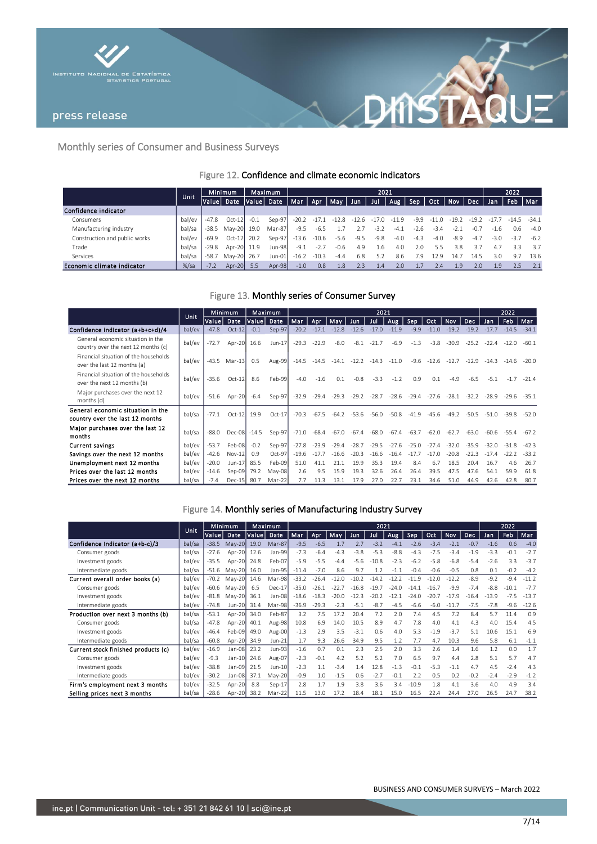



## Monthly series of Consumer and Business Surveys

## Figure 12. Confidence and climate economic indicators

|                               | 'Unit.  |         | <b>Minimum</b> | <b>Maximum</b> |            | 2021    |         |         |         |         |         |        |         |         |         | 2022   |            |         |  |
|-------------------------------|---------|---------|----------------|----------------|------------|---------|---------|---------|---------|---------|---------|--------|---------|---------|---------|--------|------------|---------|--|
|                               |         | Value   | Date           |                | Value Date | Mar Apr |         | May     | : Jun   | Jul     | Aug     | Sep    | Oct.    | Nov     | Dec     | Jan    | <b>Feb</b> | Mar     |  |
| Confidence indicator          |         |         |                |                |            |         |         |         |         |         |         |        |         |         |         |        |            |         |  |
| Consumers                     | bal/ev  | $-47.8$ | $Oct-12$       | $-0.1$         | Sep-97     | $-20.2$ | $-17.1$ | $-12.8$ | $-12.6$ | $-17.0$ | $-11.9$ | $-9.9$ | $-11.0$ | $-19.2$ | $-19.2$ |        | -14.5      | $-34.1$ |  |
| Manufacturing industry        | bal/sa  | $-38.5$ | Mav-20 19.0    |                | Mar-87     | $-9.5$  | $-6.5$  |         |         | $-3.7$  | $-4.1$  | $-2.6$ | $-3.4$  | $-2.1$  | -0.,    | $-1.6$ | 0.6        | $-4.0$  |  |
| Construction and public works | bal/ev  | -69.9   | Oct-12 20.2    |                | Sep-97     | $-13.6$ | $-10.6$ | -5.6    | $-9.5$  | $-9.8$  | $-4.0$  | $-4.3$ | $-4.0$  | $-8.9$  | $-4.7$  | $-3.0$ | $-3.7$     | $-6.2$  |  |
| Trade                         | bal/sa  | $-29.8$ | Apr-20 11.9    |                | Jun-98     | $-9.1$  | $-2.7$  | $-0.6$  | 4.9     | 1.6     | 4.0     | 2.0    | 5.5     | 3.8     | 3.7     | 4.7    | 3.3        | 3.7     |  |
| Services                      | bal/sa  | $-58.7$ | May-20 26.7    |                | Jun-01     | $-16.2$ | $-10.3$ | $-4.4$  | 6.8     | 5.2     | 8.6     | 7.9    | 129     | 14.     | 14.5    | 3.0    | 9.7        | 13.6    |  |
| Economic climate indicator    | $%$ /sa | $-7.2$  | Apr-20 5.5     |                | Apr-98     | $-1.0$  | 0.8     | 1.8     | 2.3     | 1.4     | 2.0     |        | 7.4     | 1.9     | 2.0     | 1.9    | 2.5        |         |  |

Figure 13. Monthly series of Consumer Survey

|                                                                          |        | Minimum<br><b>Unit</b> |              |        | Maximum  | 2021    |         |         |         |         |         |         |         |         |         | 2022    |         |         |
|--------------------------------------------------------------------------|--------|------------------------|--------------|--------|----------|---------|---------|---------|---------|---------|---------|---------|---------|---------|---------|---------|---------|---------|
|                                                                          |        | Value Date             |              | Value  | Date     | Mar     | Apr     | May     | Jun.    | Jul     | Aug     | Sep     | Oct.    | Nov     | Dec.    | Jan     | Feb     | Mar     |
| Confidence indicator (a+b+c+d)/4                                         | bal/ev | $-47.8$                | $Oct-12$     | $-0.1$ | Sep-97   | $-20.2$ | $-17.1$ | $-12.8$ | $-12.6$ | $-17.0$ | $-11.9$ | $-9.9$  | $-11.0$ | $-19.2$ | $-19.2$ | $-17.7$ | $-14.5$ | $-34.1$ |
| General economic situation in the<br>country over the next 12 months (c) | bal/ev | $-72.7$                | Apr-20       | 16.6   | Jun-17   | $-29.3$ | $-22.9$ | $-8.0$  | $-8.1$  | $-21.7$ | $-6.9$  | $-1.3$  | $-3.8$  | $-30.9$ | $-25.2$ | $-22.4$ | $-12.0$ | $-60.1$ |
| Financial situation of the households<br>over the last 12 months (a)     | bal/ev | $-43.5$                | $Mar-13$     | 0.5    | Aug-99   | $-14.5$ | $-14.5$ | $-14.1$ | $-12.2$ | $-14.3$ | $-11.0$ | $-9.6$  | $-12.6$ | $-12.7$ | $-12.9$ | $-14.3$ | $-14.6$ | $-20.0$ |
| Financial situation of the households<br>over the next 12 months (b)     | bal/ev | $-35.6$                | $Oct-12$     | 8.6    | Feb-99   | $-4.0$  | $-1.6$  | 0.1     | $-0.8$  | $-3.3$  | $-1.2$  | 0.9     | 0.1     | $-4.9$  | $-6.5$  | $-5.1$  | $-1.7$  | $-21.4$ |
| Major purchases over the next 12<br>months (d)                           | bal/ev | $-51.6$                | Apr-20       | $-6.4$ | Sep-97   | $-32.9$ | $-29.4$ | $-29.3$ | $-29.2$ | $-28.7$ | $-28.6$ | $-29.4$ | $-27.6$ | $-28.1$ | $-32.2$ | $-28.9$ | $-29.6$ | $-35.1$ |
| General economic situation in the<br>country over the last 12 months     | bal/sa | $-77.1$                | $Oct-12$     | 19.9   | $Oct-17$ | $-70.3$ | $-67.5$ | $-64.2$ | $-53.6$ | $-56.0$ | $-50.8$ | $-41.9$ | $-45.6$ | $-49.2$ | $-50.5$ | $-51.0$ | $-39.8$ | $-52.0$ |
| Major purchases over the last 12<br>months                               | bal/sa | $-88.0$                | Dec-08 -14.5 |        | Sep-97   | $-71.0$ | $-68.4$ | -67.0   | $-67.4$ | $-68.0$ | $-67.4$ | $-63.7$ | $-62.0$ | $-62.7$ | $-63.0$ | -60.6   | $-55.4$ | $-67.2$ |
| <b>Current savings</b>                                                   | bal/ev | $-53.7$                | Feb-08       | $-0.2$ | Sep-97   | $-27.8$ | $-23.9$ | $-29.4$ | $-28.7$ | $-29.5$ | $-27.6$ | $-25.0$ | $-27.4$ | $-32.0$ | $-35.9$ | $-320$  | $-31.8$ | $-42.3$ |
| Savings over the next 12 months                                          | bal/ev | $-42.6$                | $Nov-12$     | 0.9    | $Oct-97$ | $-19.6$ | $-17.7$ | $-16.6$ | $-20.3$ | $-16.6$ | $-16.4$ |         | $-17.0$ | $-20.8$ | $-22.3$ | $-17.4$ | $-22.2$ | $-33.2$ |
| Unemployment next 12 months                                              | bal/ev | $-20.0$                | $J$ un-17    | 85.5   | Feb-09   | 51.0    | 41.1    | 21.7    | 19.9    | 35.3    | 19.4    | 8.4     | 6.7     | 18.5    | 20.4    | 16.7    | 4.6     | 26.7    |
| Prices over the last 12 months                                           | bal/ev | $-14.6$                | Sep-09       | 79.2   | May-08   | 2.6     | 9.5     | 15.9    | 19.3    | 32.6    | 26.4    | 26.4    | 39.5    | 47.5    | 47.6    | 54.1    | 59.9    | 61.8    |
| Prices over the next 12 months                                           | bal/sa | $-7.4$                 | $Dec-15$     | 80.7   | Mar-22   | 7.7     | 11.3    | 13.1    | 17.9    | 27.0    | 22.7    | 23.1    | 34.6    | 51.0    | 44.9    | 42.6    | 42.8    | 80.7    |

## Figure 14. Monthly series of Manufacturing Industry Survey

|                                     |        | <b>Minimum</b><br>Unit |          |       | Maximum<br>2021 |         |         |         |         |         |         |         |         |            | 2022    |         |            |         |
|-------------------------------------|--------|------------------------|----------|-------|-----------------|---------|---------|---------|---------|---------|---------|---------|---------|------------|---------|---------|------------|---------|
|                                     |        | Value                  | Date     | Value | Date            | Mar     | Apr     | May     | Jun.    | Jul     | Aug     | Sep     | Oct     | <b>Nov</b> | Dec     | Jan     | <b>Feb</b> | Mar     |
| Confidence Indicator (a+b-c)/3      | bal/sa | $-38.5$                | May-20   | 19.0  | Mar-87          | $-9.5$  | $-6.5$  | 1.7     | 2.7     | $-3.2$  | $-4.1$  | $-2.6$  | $-3.4$  | $-2.1$     | $-0.7$  | $-1.6$  | 0.6        | $-4.0$  |
| Consumer goods                      | bal/sa | $-27.6$                | Apr-20   | 12.6  | Jan-99          | $-7.3$  | $-6.4$  | $-4.3$  | $-3.8$  | $-5.3$  | $-8.8$  | $-4.3$  | $-7.5$  | $-3.4$     | $-1.9$  | $-3.3$  | $-0.1$     | $-2.7$  |
| Investment goods                    | bal/ev | $-35.5$                | Apr-20   | 24.8  | Feb-07          | $-5.9$  | $-5.5$  | $-4.4$  | $-5.6$  | $-10.8$ | $-2.3$  | $-6.2$  | $-5.8$  | $-6.8$     | $-5.4$  | $-2.6$  | 3.3        | $-3.7$  |
| Intermediate goods                  | bal/sa | $-51.6$                | $May-20$ | 16.0  | Jan-95          | $-11.4$ | $-7.0$  | 8.6     | 9.7     | 1.2     | $-1.1$  | $-0.4$  | $-0.6$  | $-0.5$     | 0.8     | 0.1     | $-0.2$     | $-4.2$  |
| Current overall order books (a)     | bal/ev | $-70.2$                | $May-20$ | 14.6  | Mar-98          | $-33.2$ | $-26.4$ | $-12.0$ | $-10.2$ | $-14.2$ | $-12.2$ | $-119$  | $-12.0$ | $-12.2$    | $-8.9$  | $-9.2$  | $-9.4$     | $-11.2$ |
| Consumer goods                      | bal/ev | -60.6                  | May-20   | 6.5   | $Dec-17$        | $-35.0$ | $-26.1$ | $-22.7$ | $-16.8$ | $-19.7$ | $-24.0$ | $-14.1$ | $-16.7$ | $-9.9$     | $-7.4$  | $-8.8$  | $-10.1$    | $-7.7$  |
| Investment goods                    | bal/ev | $-81.8$                | $May-20$ | 36.1  | Jan-08          | $-18.6$ | $-18.3$ | $-20.0$ | $-12.3$ | $-20.2$ | $-12.1$ | $-24.0$ | $-20.7$ | $-17.9$    | $-16.4$ | $-13.9$ | $-7.5$     | $-13.7$ |
| Intermediate goods                  | bal/ev | $-74.8$                | Jun-20   | 31.4  | Mar-98          | $-36.9$ | $-29.3$ | $-2.3$  | $-5.1$  | $-8.7$  | $-4.5$  | $-6.6$  | $-6.0$  | $-11.7$    | $-7.5$  | $-7.8$  | $-9.6$     | $-12.6$ |
| Production over next 3 months (b)   | bal/sa | $-53.1$                | Apr-20   | 34.0  | Feb-87          | 3.2     | 7.5     | 17.2    | 20.4    | 7.2     | 2.0     | 7.4     | 4.5     | 7.2        | 8.4     | 5.7     | 11.4       | 0.9     |
| Consumer goods                      | bal/sa | $-47.8$                | Apr-20   | 40.1  | Aug-98          | 10.8    | 6.9     | 14.0    | 10.5    | 8.9     | 4.7     | 7.8     | 4.0     | 4.1        | 4.3     | 4.0     | 15.4       | 4.5     |
| Investment goods                    | bal/ev | $-46.4$                | Feb-09   | 49.0  | Aug-00          | $-1.3$  | 2.9     | 3.5     | $-3.1$  | 0.6     | 4.0     | 5.3     | $-1.9$  | $-3.7$     | 5.1     | 10.6    | 15.1       | 6.9     |
| Intermediate goods                  | bal/sa | $-60.8$                | Apr-20   | 34.9  | $Jun-21$        | 1.7     | 9.3     | 26.6    | 34.9    | 9.5     | 1.2     | 7.7     | 4.7     | 10.3       | 9.6     | 5.8     | 6.1        | $-1.1$  |
| Current stock finished products (c) | bal/ev | $-16.9$                | Jan-08   | 23.2  | Jun-93          | $-1.6$  | 0.7     | 0.1     | 2.3     | 2.5     | 2.0     | 3.3     | 2.6     | 1.4        | 1.6     | 1.2     | 0.0        | 1.7     |
| Consumer goods                      | bal/ev | $-9.3$                 | $Jan-10$ | 24.6  | Aug-07          | $-2.3$  | $-0.1$  | 4.2     | 5.2     | 5.2     | 7.0     | 6.5     | 9.7     | 4.4        | 2.8     | 5.1     | 5.7        | 4.7     |
| Investment goods                    | bal/ev | $-38.8$                | $Jan-09$ | 21.5  | Jun-10          | $-2.3$  | 1.1     | $-3.4$  | 1.4     | 12.8    | $-1.3$  | $-0.1$  | $-5.3$  | $-1.1$     | 4.7     | 4.5     | $-2.4$     | 4.3     |
| Intermediate goods                  | bal/ev | $-30.2$                | Jan-08   | 37.1  | $May-20$        | $-0.9$  | 1.0     | $-1.5$  | 0.6     | $-2.7$  | $-0.1$  | 2.2     | 0.5     | 0.2        | $-0.2$  | $-2.4$  | $-2.9$     | $-1.2$  |
| Firm's employment next 3 months     | bal/ev | $-32.5$                | Apr-20   | 8.8   | $Sep-17$        | 2.8     | 1.7     | 1.9     | 3.8     | 3.6     | 3.4     | $-10.9$ | 1.8     | 4.1        | 3.6     | 4.0     | 4.9        | 3.4     |
| Selling prices next 3 months        | bal/sa | $-28.6$                | Apr-20   | 38.2  | Mar-22          | 11.5    | 13.0    | 17.2    | 18.4    | 18.1    | 15.0    | 16.5    | 22.4    | 24.4       | 27.0    | 26.5    | 24.7       | 38.2    |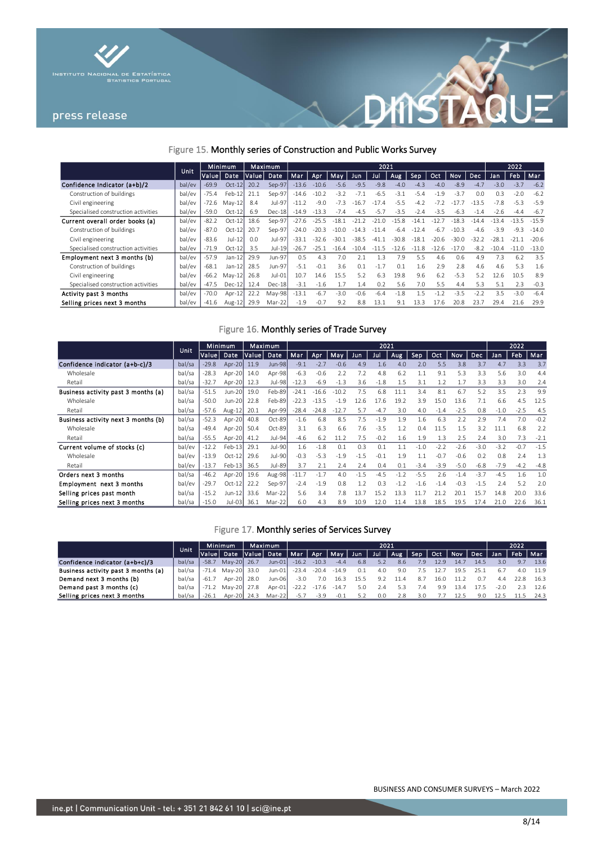



## Figure 15. Monthly series of Construction and Public Works Survey

|                                     | <b>Unit</b> |         | Minimum  | Maximum |          | 2021    |         |         |         |         |         |         |         |         |            | 2022    |         |         |
|-------------------------------------|-------------|---------|----------|---------|----------|---------|---------|---------|---------|---------|---------|---------|---------|---------|------------|---------|---------|---------|
|                                     |             | Value   | Date     | Value   | Date     | Mar     | Apr     | Mav     | Jun     | Jul     | Aug.    | Sep     | Oct     | Nov     | <b>Dec</b> | Jan.    | Feb.    | Mar     |
| Confidence Indicator (a+b)/2        | bal/ev      | $-69.9$ | $Oct-12$ | 20.2    | Sep-97   | $-13.6$ | $-10.6$ | $-5.6$  | $-9.5$  | $-9.8$  | $-4.0$  | $-4.3$  | $-4.0$  | $-8.9$  | $-4.7$     | $-3.0$  | $-3.7$  | $-6.2$  |
| Construction of buildings           | bal/ev      | $-75.4$ | Feb-12   | 21.1    | Sep-97   | $-14.6$ | $-10.2$ | $-3.2$  | $-71$   | $-6.5$  | $-3.7$  | $-5.4$  | $-1.9$  | $-3.7$  | 0.0        | 0.3     | $-2.0$  | $-6.2$  |
| Civil engineering                   | bal/ev      | -72.6   | $Mav-12$ | 8.4     | Jul-97   | $-11.2$ | $-9.0$  | $-7.3$  | $-16.7$ | $-174$  | $-5.5$  | $-4.7$  | $-7.7$  |         | $-135$     | $-7.8$  | $-5.3$  | $-5.9$  |
| Specialised construction activities | bal/ev      | $-59.0$ | $Oct-12$ | 6.9     | Dec-18   | $-14.9$ | $-13.3$ | $-7.4$  | $-4.5$  | $-5.7$  | $-3.5$  | $-2.4$  | $-3.5$  | $-6.3$  | $-1.4$     | $-2.6$  | $-4.4$  | $-6.7$  |
| Current overall order books (a)     | bal/ev      | $-82.2$ | $Oct-12$ | 18.6    | Sep-97   | $-27.6$ | $-25.5$ | $-18.1$ | $-212$  | $-210$  | $-15.8$ | $-141$  | $-12.7$ | $-183$  | $-144$     | $-134$  | $-13.5$ | $-159$  |
| Construction of buildings           | bal/ev      | $-87.0$ | $Oct-12$ | 20.7    | Sep-97   | $-24.0$ | $-20.3$ | $-100$  | $-14.3$ | $-114$  | $-6.4$  | $-12.4$ | $-6.7$  | $-10.3$ | $-4.6$     | $-3.9$  | $-9.3$  | $-14.0$ |
| Civil engineering                   | bal/ev      | $-83.6$ | $Jul-12$ | 0.0     | Jul-97   | $-33.1$ | $-32.6$ | $-30.1$ | $-38.5$ | $-41.1$ | $-30.8$ | $-18.1$ | $-20.6$ | $-30.0$ | $-32.2$    | $-28.1$ | $-21.1$ | $-20.6$ |
| Specialised construction activities | bal/ev      | $-71.9$ | $Oct-12$ | 3.5     | Jul-19   | $-26.7$ | $-25.1$ | $-164$  | $-10.4$ | $-115$  | $-12.6$ | $-11.8$ | $-12.6$ | $-170$  | $-82$      | $-10.4$ | $-11.0$ | $-13.0$ |
| Employment next 3 months (b)        | bal/ev      | $-57.9$ | Jan-12   | 29.9    | Jun-97   | 0.5     | 4.3     | 7.0     |         | 1.3     | 7.9     | 5.5     | 4.6     | 0.6     | 4.9        | 7.3     | 6.2     | 3.5     |
| Construction of buildings           | bal/ev      | $-68.1$ | $Jan-12$ | 28.5    | Jun-97   | $-5.1$  | $-0.1$  | 3.6     | 0.1     | $-1.7$  | 0.1     | 1.6     | 2.9     | 2.8     | 4.6        | 4.6     | 5.3     | 1.6     |
| Civil engineering                   | bal/ev      | $-66.2$ | $May-12$ | 26.8    | Jul-01   | 10.7    | 14.6    | 15.5    | 5.2     | 6.3     | 19.8    | 9.6     | 6.2     | $-5.3$  | 5.2        | 12.6    | 10.5    | 8.9     |
| Specialised construction activities | bal/ev      | $-47.5$ | $Dec-12$ | 12.4    | Dec-18   | $-3.1$  | $-1.6$  | í.7     | 1.4     | 0.2     | 5.6     | 7.0     | 5.5     | 4.4     | 5.3        | 5.1     | 2.3     | $-0.3$  |
| Activity past 3 months              | bal/ev      | $-70.0$ | $Apr-12$ | 22.2    | $May-98$ | $-13.1$ | $-6.7$  | $-3.0$  | $-0.6$  | $-6.4$  | $-1.8$  | 1.5     | $-1.2$  | $-3.5$  | $-2.2$     | 3.5     | $-3.0$  | $-6.4$  |
| Selling prices next 3 months        | bal/ev      | $-41.6$ | Aug-12   | 29.9    | Mar-22   | $-1.9$  | $-0.7$  | 9.2     | 8.8     | 13.1    | 9.1     | 13.3    | 17.6    | 20.8    | 23.7       | 29.4    | 21.6    | 29.9    |

## Figure 16. Monthly series of Trade Survey

|                                     |        |         | Minimum  | Maximum |               | 2021    |         |         |        |        |        |        |        |        |            | 2022   |        |        |  |
|-------------------------------------|--------|---------|----------|---------|---------------|---------|---------|---------|--------|--------|--------|--------|--------|--------|------------|--------|--------|--------|--|
|                                     | Unit   | Valuel  | Date     | Value   | Date          | Mar     | Apr     | May     | Jun    | Jul    | Aug    | Sep    | Oct    | Nov    | <b>Dec</b> | Jan    | Feb    | Mar    |  |
| Confidence indicator (a+b-c)/3      | bal/sa | $-29.8$ | Apr-20   | 11.9    | <b>Jun-98</b> | $-9.1$  | $-2.7$  | $-0.6$  | 4.9    | 1.6    | 4.0    | 2.0    | 5.5    | 3.8    | 3.7        | 4.7    | 3.3    | 3.7    |  |
| Wholesale                           | bal/sa | $-28.3$ | Apr-20   | 14.0    | Apr-98        | $-6.3$  | $-0.6$  | 7.7     | 7.2    | 4.8    | 6.2    | 1.1    | 9.1    | 5.3    | 3.3        | 5.6    | 3.0    | 4.4    |  |
| Retail                              | bal/sa | $-32.7$ | Apr-20   | 12.3    | Jul-98        | $-12.3$ | $-6.9$  | $-1.3$  | 3.6    | $-1.8$ | 1.5    | 3.1    | 1.2    | 1.7    | 3.3        | 3.3    | 3.0    | 2.4    |  |
| Business activity past 3 months (a) | bal/sa | $-51.5$ | Jun-20   | 19.0    | Feb-89        | $-24.1$ | $-16.6$ | $-10.2$ | 7.5    | 6.8    | 11.1   | 3.4    | 8.1    | 6.7    | 5.2        | 3.5    | 2.3    | 9.9    |  |
| Wholesale                           | bal/sa | $-50.0$ | Jun-20   | 22.8    | Feb-89        | $-22.3$ | $-13.5$ | $-1.9$  | 12.6   | 17.6   | 19.2   | 3.9    | 15.0   | 13.6   | 7.1        | 6.6    | 4.5    | 12.5   |  |
| Retail                              | bal/sa | $-57.6$ | Aug-12   | 20.1    | Apr-99        | $-28.4$ | $-24.8$ | $-12.7$ | 5.7    | $-4.7$ | 3.0    | 4.0    | $-1.4$ | $-2.5$ | 0.8        | $-1.0$ | $-2.5$ | 4.5    |  |
| Business activity next 3 months (b) | bal/sa | $-52.3$ | Apr-20   | 40.8    | Oct-89        | $-1.6$  | 6.8     | 8.5     | 7.5    | $-1.9$ | 1.9    | 1.6    | 6.3    | 7.7    | 2.9        | 7.4    | 7.0    | $-0.2$ |  |
| Wholesale                           | bal/sa | $-49.4$ | Apr-20   | 50.4    | Oct-89        | 3.1     | 6.3     | 6.6     | 7.6    | $-3.5$ | 1.2    | 0.4    | 11.5   | 1.5    | 3.2        | 11.1   | 6.8    | 7.7    |  |
| Retail                              | bal/sa | $-55.5$ | Apr-20   | 41.2    | Jul-94        | $-4.6$  | 6.2     | 11.2    | 7.5    | $-0.2$ | 1.6    | 1.9    | 1.3    | 2.5    | 2.4        | 3.0    | 7.3    | $-2.1$ |  |
| Current volume of stocks (c)        | bal/ev | $-12.2$ | Feb-13   | 29.1    | Jul-90        | 1.6     | $-1.8$  | 0.1     | 0.3    | 0.1    | 1.1    | $-1.0$ | $-2.2$ | $-2.6$ | $-3.0$     | $-3.2$ | $-0.7$ | $-1.5$ |  |
| Wholesale                           | bal/ev | $-13.9$ | $Oct-12$ | 29.6    | Jul-90        | $-0.3$  | $-5.3$  | $-1.9$  | $-1.5$ | $-0.1$ | 1.9    | 1.1    | $-0.7$ | $-0.6$ | 0.2        | 0.8    | 7.4    | 1.3    |  |
| Retail                              | bal/ev | $-13.7$ | $Feb-13$ | 36.5    | Jul-89        | 3.7     | 2.1     | 2.4     | 2.4    | 0.4    | 0.1    | $-3.4$ | $-3.9$ | $-5.0$ | $-6.8$     | $-7.9$ | $-4.2$ | $-4.8$ |  |
| Orders next 3 months                | bal/sa | $-46.2$ | Apr-20   | 19.6    | Aug-98        | $-11.7$ | $-1.7$  | 4.0     | $-1.5$ | $-4.5$ | $-1.2$ | $-5.5$ | 2.6    | $-1.4$ | $-3.7$     | $-4.5$ | 1.6    | 1.0    |  |
| Employment next 3 months            | bal/ev | $-29.7$ | $Oct-12$ | 22.2    | Sep-97        | $-2.4$  | $-1.9$  | 0.8     | 1.2    | 0.3    | $-1.2$ | $-1.6$ | $-1.4$ | $-0.3$ | $-1.5$     | 7.4    | 5.2    | 2.0    |  |
| Selling prices past month           | bal/sa | $-15.2$ | Jun-12   | 33.6    | Mar-22        | 5.6     | 3.4     | 7.8     | 13.7   | 15.2   | 13.3   | 11.7   | 21.2   | 20.1   | 15.7       | 14.8   | 20.0   | 33.6   |  |
| Selling prices next 3 months        | bal/sa | $-15.0$ | Jul-03   | 36.1    | Mar-22        | 6.0     | 4.3     | 8.9     | 10.9   | 12.0   | 11.4   | 13.8   | 18.5   | 19.5   | 17.4       | 21.0   | 22.6   | 36.1   |  |

## Figure 17. Monthly series of Services Survey

|                                     |        | Unit          |                   | Maximum<br>Minimum |                                    | 2021    |               |         |      |                       |      |     |      |      |                     | 2022   |     |      |  |
|-------------------------------------|--------|---------------|-------------------|--------------------|------------------------------------|---------|---------------|---------|------|-----------------------|------|-----|------|------|---------------------|--------|-----|------|--|
|                                     |        | Value  Date , |                   |                    | Value Date   Mar   Apr   May   Jun |         |               |         |      | Jul   Aug   Sep   Oct |      |     |      |      | Nov Dec Jan Feb Mar |        |     |      |  |
| Confidence indicator (a+b+c)/3      | bal/sa | $-58.7$       | May-20 26.7       |                    | $Jun-01$                           | $-16.2$ | $-10.3$       | $-4.4$  | 6.8  | 5.2                   | 8.6  | 7.9 | 12.9 | 14.7 | 14.5                | 3.0    | 9.7 | 13.6 |  |
| Business activity past 3 months (a) | bal/sa |               | -71.4 May-20 33.0 |                    | Jun-01                             | $-23.4$ | $-20.4$       | $-14.9$ | 0.1  | 4.0                   | 9.0  |     | 12.7 | 19.5 | 25.1                | 6.7    | 4.0 | 11.9 |  |
| Demand next 3 months (b)            | bal/sa | $-61.7$       | Apr-20 28.0       |                    | Jun-06                             | $-3.0$  | 7.0           | 16.3    | 15.5 | 9.2                   | 11.4 | 8.7 | 16.0 | 11.2 |                     |        |     | 16.3 |  |
| Demand past 3 months (c)            | bal/sa |               | -71.2 May-20 27.8 |                    | Apr-01                             | $-22.2$ | $-17.6 -14.7$ |         | 5.0  | 2.4                   | 5.3  | 7.4 | 9.9  | 13.4 |                     | $-2.0$ |     | 12.6 |  |
| Selling prices next 3 months        | bal/sa | $-26.1$       | Apr-20 24.3       |                    | Mar-22                             | $-5.7$  | $-3.9$        | $-0.1$  | 5.2  | 0.0                   | 2.8  | 3.0 |      | 12.5 | 9.0                 |        |     | 24.3 |  |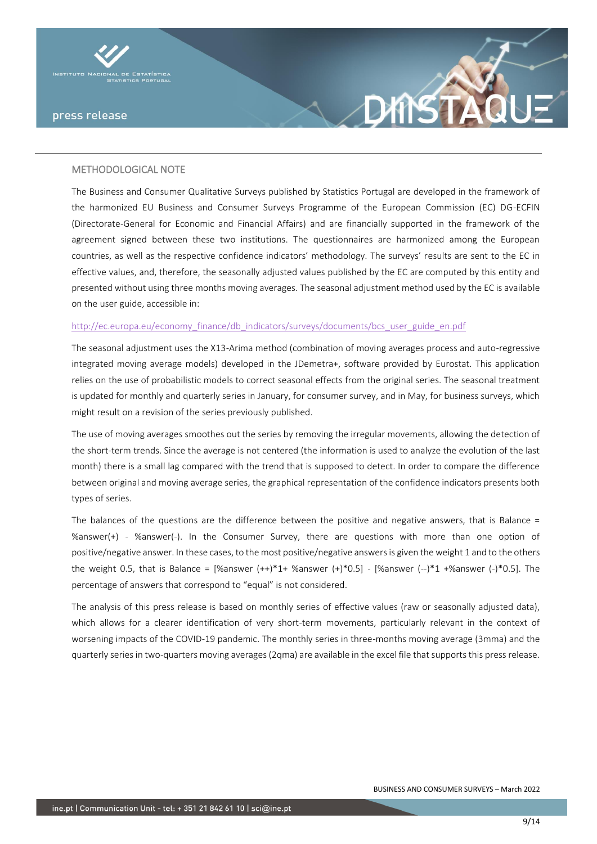



The Business and Consumer Qualitative Surveys published by Statistics Portugal are developed in the framework of the harmonized EU Business and Consumer Surveys Programme of the European Commission (EC) DG-ECFIN (Directorate-General for Economic and Financial Affairs) and are financially supported in the framework of the agreement signed between these two institutions. The questionnaires are harmonized among the European countries, as well as the respective confidence indicators' methodology. The surveys' results are sent to the EC in effective values, and, therefore, the seasonally adjusted values published by the EC are computed by this entity and presented without using three months moving averages. The seasonal adjustment method used by the EC is available on the user guide, accessible in:

#### [http://ec.europa.eu/economy\\_finance/db\\_indicators/surveys/documents/bcs\\_user\\_guide\\_en.pdf](http://ec.europa.eu/economy_finance/db_indicators/surveys/documents/bcs_user_guide_en.pdf)

The seasonal adjustment uses the X13-Arima method (combination of moving averages process and auto-regressive integrated moving average models) developed in the JDemetra+, software provided by Eurostat. This application relies on the use of probabilistic models to correct seasonal effects from the original series. The seasonal treatment is updated for monthly and quarterly series in January, for consumer survey, and in May, for business surveys, which might result on a revision of the series previously published.

The use of moving averages smoothes out the series by removing the irregular movements, allowing the detection of the short-term trends. Since the average is not centered (the information is used to analyze the evolution of the last month) there is a small lag compared with the trend that is supposed to detect. In order to compare the difference between original and moving average series, the graphical representation of the confidence indicators presents both types of series.

The balances of the questions are the difference between the positive and negative answers, that is Balance = %answer(+) - %answer(-). In the Consumer Survey, there are questions with more than one option of positive/negative answer. In these cases, to the most positive/negative answers is given the weight 1 and to the others the weight 0.5, that is Balance =  $[%$ answer  $(+*)^*1+$  %answer  $(+)^*0.5]$  -  $[%$ answer  $(-)*1$  +%answer  $(-)*0.5]$ . The percentage of answers that correspond to "equal" is not considered.

The analysis of this press release is based on monthly series of effective values (raw or seasonally adjusted data), which allows for a clearer identification of very short-term movements, particularly relevant in the context of worsening impacts of the COVID-19 pandemic. The monthly series in three-months moving average (3mma) and the quarterly series in two-quarters moving averages (2qma) are available in the excel file that supports this press release.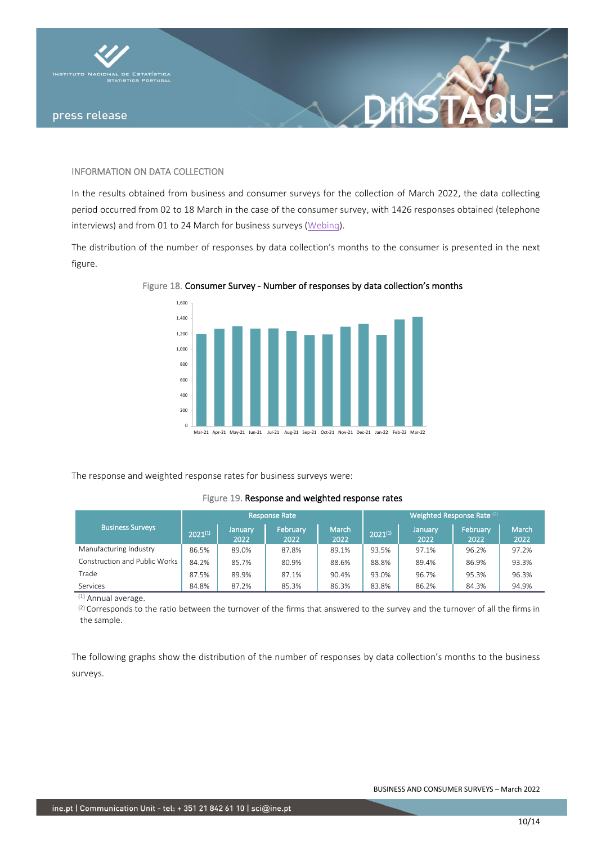

### INFORMATION ON DATA COLLECTION

In the results obtained from business and consumer surveys for the collection of March 2022, the data collecting period occurred from 02 to 18 March in the case of the consumer survey, with 1426 responses obtained (telephone interviews) and from 01 to 24 March for business surveys [\(Webinq\)](https://webinq.ine.pt/).

XIYS 7

The distribution of the number of responses by data collection's months to the consumer is presented in the next figure.



Figure 18. Consumer Survey - Number of responses by data collection's months

The response and weighted response rates for business surveys were:

### Figure 19. Response and weighted response rates

|                               |              |                 | <b>Response Rate</b> |               | Weighted Response Rate (2) |                 |                  |               |  |  |  |  |  |
|-------------------------------|--------------|-----------------|----------------------|---------------|----------------------------|-----------------|------------------|---------------|--|--|--|--|--|
| <b>Business Surveys</b>       | $2021^{(1)}$ | January<br>2022 | February<br>2022     | March<br>2022 | $2021^{(1)}$               | January<br>2022 | February<br>2022 | March<br>2022 |  |  |  |  |  |
| Manufacturing Industry        | 86.5%        | 89.0%           | 87.8%                | 89.1%         | 93.5%                      | 97.1%           | 96.2%            | 97.2%         |  |  |  |  |  |
| Construction and Public Works | 84.2%        | 85.7%           | 80.9%                | 88.6%         | 88.8%                      | 89.4%           | 86.9%            | 93.3%         |  |  |  |  |  |
| Trade                         | 87.5%        | 89.9%           | 87.1%                | 90.4%         | 93.0%                      | 96.7%           | 95.3%            | 96.3%         |  |  |  |  |  |
| Services                      | 84.8%        | 87.2%           | 85.3%                | 86.3%         | 83.8%                      | 86.2%           | 84.3%            | 94.9%         |  |  |  |  |  |

 $\overline{^{(1)}}$  Annual average.

(2) Corresponds to the ratio between the turnover of the firms that answered to the survey and the turnover of all the firms in the sample.

The following graphs show the distribution of the number of responses by data collection's months to the business surveys.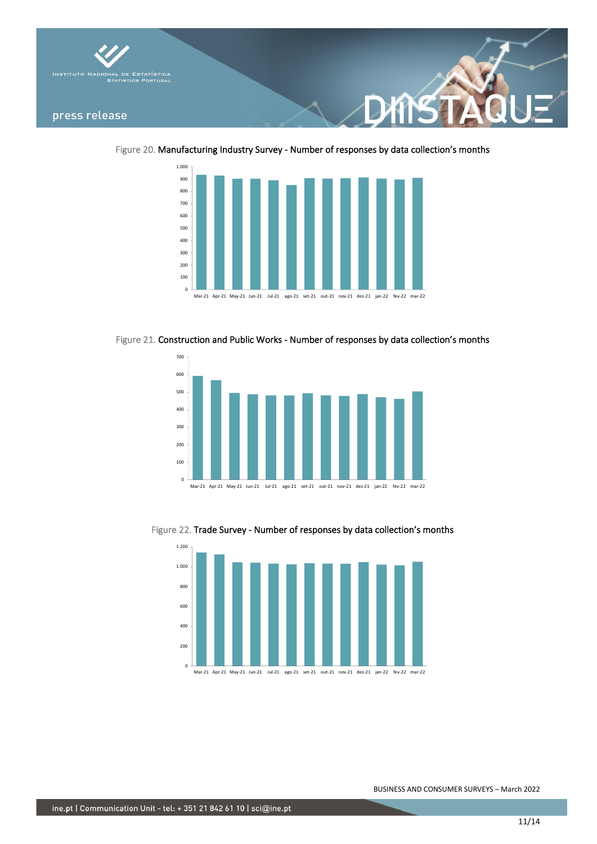

Figure 20. Manufacturing Industry Survey - Number of responses by data collection's months



Figure 21. Construction and Public Works - Number of responses by data collection's months



Figure 22. Trade Survey - Number of responses by data collection's months

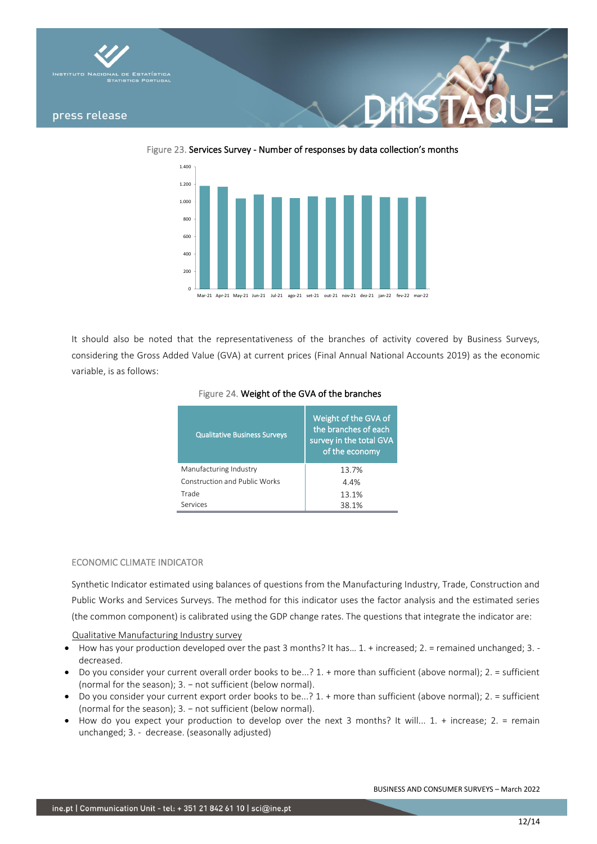





It should also be noted that the representativeness of the branches of activity covered by Business Surveys, considering the Gross Added Value (GVA) at current prices (Final Annual National Accounts 2019) as the economic variable, is as follows:

| <b>Qualitative Business Surveys</b>  | Weight of the GVA of<br>the branches of each<br>survey in the total GVA<br>of the economy |
|--------------------------------------|-------------------------------------------------------------------------------------------|
| Manufacturing Industry               | 13.7%                                                                                     |
| <b>Construction and Public Works</b> | 4.4%                                                                                      |
| Trade                                | 13.1%                                                                                     |
| Services                             | 38.1%                                                                                     |

## Figure 24. Weight of the GVA of the branches

### ECONOMIC CLIMATE INDICATOR

Synthetic Indicator estimated using balances of questions from the Manufacturing Industry, Trade, Construction and Public Works and Services Surveys. The method for this indicator uses the factor analysis and the estimated series (the common component) is calibrated using the GDP change rates. The questions that integrate the indicator are:

Qualitative Manufacturing Industry survey

- How has your production developed over the past 3 months? It has… 1. + increased; 2. = remained unchanged; 3. decreased.
- Do you consider your current overall order books to be...? 1. + more than sufficient (above normal); 2. = sufficient (normal for the season); 3. - not sufficient (below normal).
- Do you consider your current export order books to be...? 1. + more than sufficient (above normal); 2. = sufficient (normal for the season); 3. – not sufficient (below normal).
- How do you expect your production to develop over the next 3 months? It will... 1. + increase; 2. = remain unchanged; 3. - decrease. (seasonally adjusted)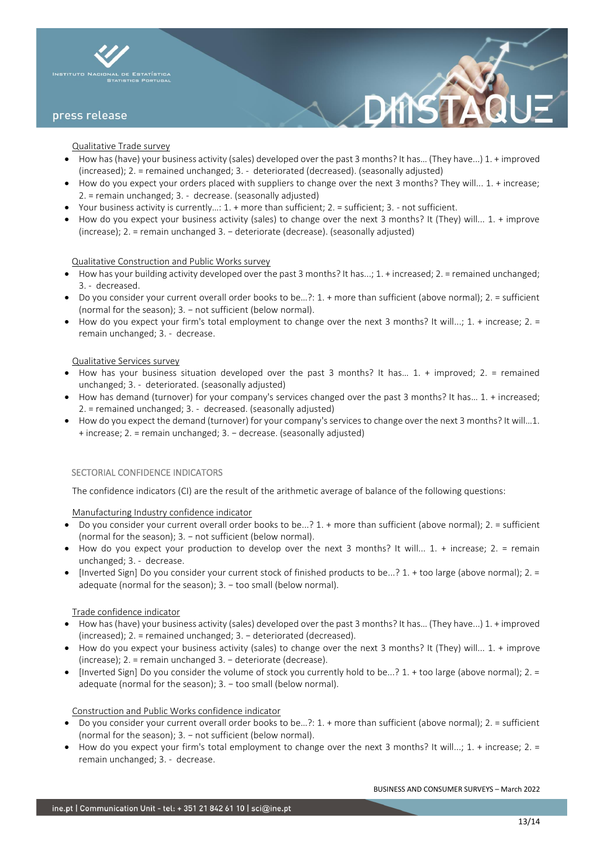

### Qualitative Trade survey

- How has (have) your business activity (sales) developed over the past 3 months? It has… (They have...) 1. + improved (increased); 2. = remained unchanged; 3. - deteriorated (decreased). (seasonally adjusted)
- How do you expect your orders placed with suppliers to change over the next 3 months? They will... 1. + increase; 2. = remain unchanged; 3. - decrease. (seasonally adjusted)
- Your business activity is currently…: 1. + more than sufficient; 2. = sufficient; 3. not sufficient.
- How do you expect your business activity (sales) to change over the next 3 months? It (They) will... 1. + improve (increase); 2. = remain unchanged 3. − deteriorate (decrease). (seasonally adjusted)

### Qualitative Construction and Public Works survey

- How has your building activity developed over the past 3 months? It has...;  $1. +$  increased;  $2. =$  remained unchanged; 3. - decreased.
- Do you consider your current overall order books to be…?: 1. + more than sufficient (above normal); 2. = sufficient (normal for the season); 3. – not sufficient (below normal).
- How do you expect your firm's total employment to change over the next 3 months? It will...;  $1. +$  increase;  $2. =$ remain unchanged; 3. - decrease.

### Qualitative Services survey

- $\bullet$  How has your business situation developed over the past 3 months? It has... 1. + improved; 2. = remained unchanged; 3. - deteriorated. (seasonally adjusted)
- How has demand (turnover) for your company's services changed over the past 3 months? It has… 1. + increased; 2. = remained unchanged; 3. - decreased. (seasonally adjusted)
- How do you expect the demand (turnover) for your company's services to change over the next 3 months? It will…1. + increase; 2. = remain unchanged; 3. − decrease. (seasonally adjusted)

### SECTORIAL CONFIDENCE INDICATORS

The confidence indicators (CI) are the result of the arithmetic average of balance of the following questions:

Manufacturing Industry confidence indicator

- Do you consider your current overall order books to be...? 1. + more than sufficient (above normal); 2. = sufficient (normal for the season); 3. − not sufficient (below normal).
- How do you expect your production to develop over the next 3 months? It will... 1. + increase; 2. = remain unchanged; 3. - decrease.
- [Inverted Sign] Do you consider your current stock of finished products to be...? 1. + too large (above normal); 2. = adequate (normal for the season); 3. - too small (below normal).

#### Trade confidence indicator

- How has (have) your business activity (sales) developed over the past 3 months? It has… (They have...) 1. + improved (increased); 2. = remained unchanged; 3. − deteriorated (decreased).
- How do you expect your business activity (sales) to change over the next 3 months? It (They) will... 1. + improve (increase); 2. = remain unchanged 3. − deteriorate (decrease).
- [Inverted Sign] Do you consider the volume of stock you currently hold to be...? 1. + too large (above normal); 2. = adequate (normal for the season); 3. - too small (below normal).

#### Construction and Public Works confidence indicator

- Do you consider your current overall order books to be…?: 1. + more than sufficient (above normal); 2. = sufficient (normal for the season); 3. – not sufficient (below normal).
- How do you expect your firm's total employment to change over the next 3 months? It will...; 1. + increase; 2. = remain unchanged; 3. - decrease.